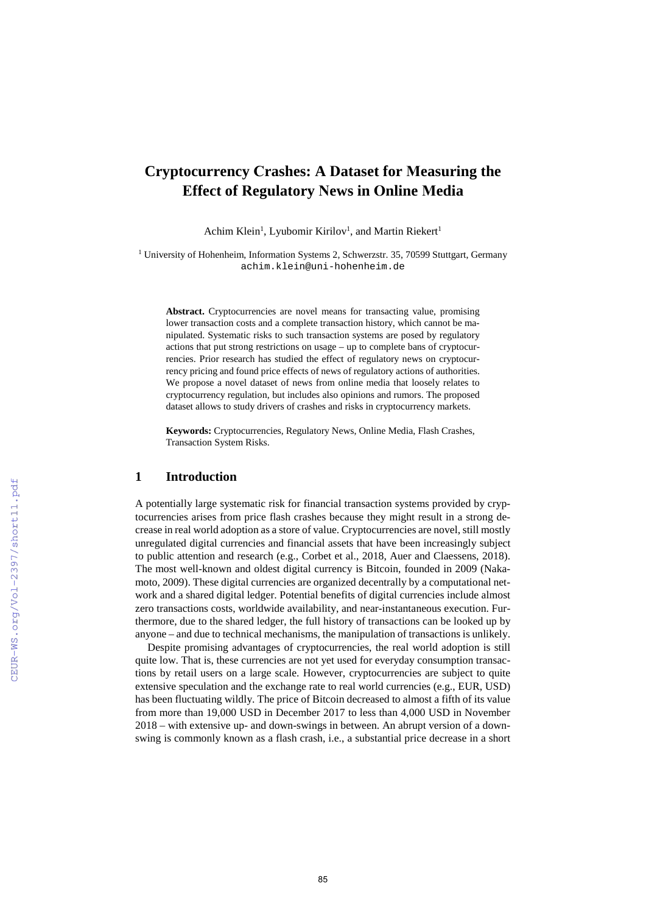# **Cryptocurrency Crashes: A Dataset for Measuring the Effect of Regulatory News in Online Media**

Achim Klein<sup>1</sup>, Lyubomir Kirilov<sup>1</sup>, and Martin Riekert<sup>1</sup>

<sup>1</sup> University of Hohenheim, Information Systems 2, Schwerzstr. 35, 70599 Stuttgart, Germany achim.klein@uni-hohenheim.de

Abstract. Cryptocurrencies are novel means for transacting value, promising lower transaction costs and a complete transaction history, which cannot be manipulated. Systematic risks to such transaction systems are posed by regulatory actions that put strong restrictions on usage – up to complete bans of cryptocurrencies. Prior research has studied the effect of regulatory news on cryptocurrency pricing and found price effects of news of regulatory actions of authorities. We propose a novel dataset of news from online media that loosely relates to cryptocurrency regulation, but includes also opinions and rumors. The proposed dataset allows to study drivers of crashes and risks in cryptocurrency markets.

**Keywords:** Cryptocurrencies, Regulatory News, Online Media, Flash Crashes, Transaction System Risks.

#### **1 Introduction**

A potentially large systematic risk for financial transaction systems provided by cryptocurrencies arises from price flash crashes because they might result in a strong decrease in real world adoption as a store of value. Cryptocurrencies are novel, still mostly unregulated digital currencies and financial assets that have been increasingly subject to public attention and research (e.g., Corbet et al., 2018, Auer and Claessens, 2018). The most well-known and oldest digital currency is Bitcoin, founded in 2009 (Nakamoto, 2009). These digital currencies are organized decentrally by a computational network and a shared digital ledger. Potential benefits of digital currencies include almost zero transactions costs, worldwide availability, and near-instantaneous execution. Furthermore, due to the shared ledger, the full history of transactions can be looked up by anyone – and due to technical mechanisms, the manipulation of transactions is unlikely.

Despite promising advantages of cryptocurrencies, the real world adoption is still quite low. That is, these currencies are not yet used for everyday consumption transactions by retail users on a large scale. However, cryptocurrencies are subject to quite extensive speculation and the exchange rate to real world currencies (e.g., EUR, USD) has been fluctuating wildly. The price of Bitcoin decreased to almost a fifth of its value from more than 19,000 USD in December 2017 to less than 4,000 USD in November 2018 – with extensive up- and down-swings in between. An abrupt version of a downswing is commonly known as a flash crash, i.e., a substantial price decrease in a short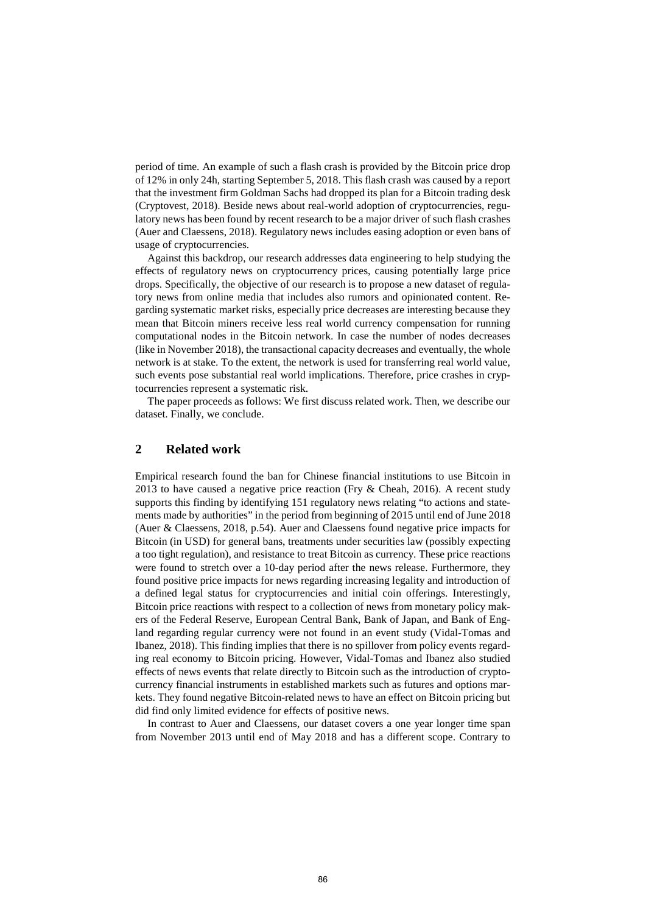period of time. An example of such a flash crash is provided by the Bitcoin price drop of 12% in only 24h, starting September 5, 2018. This flash crash was caused by a report that the investment firm Goldman Sachs had dropped its plan for a Bitcoin trading desk (Cryptovest, 2018). Beside news about real-world adoption of cryptocurrencies, regulatory news has been found by recent research to be a major driver of such flash crashes (Auer and Claessens, 2018). Regulatory news includes easing adoption or even bans of usage of cryptocurrencies.

Against this backdrop, our research addresses data engineering to help studying the effects of regulatory news on cryptocurrency prices, causing potentially large price drops. Specifically, the objective of our research is to propose a new dataset of regulatory news from online media that includes also rumors and opinionated content. Regarding systematic market risks, especially price decreases are interesting because they mean that Bitcoin miners receive less real world currency compensation for running computational nodes in the Bitcoin network. In case the number of nodes decreases (like in November 2018), the transactional capacity decreases and eventually, the whole network is at stake. To the extent, the network is used for transferring real world value, such events pose substantial real world implications. Therefore, price crashes in cryptocurrencies represent a systematic risk.

The paper proceeds as follows: We first discuss related work. Then, we describe our dataset. Finally, we conclude.

## **2 Related work**

Empirical research found the ban for Chinese financial institutions to use Bitcoin in 2013 to have caused a negative price reaction (Fry & Cheah, 2016). A recent study supports this finding by identifying 151 regulatory news relating "to actions and statements made by authorities" in the period from beginning of 2015 until end of June 2018 (Auer & Claessens, 2018, p.54). Auer and Claessens found negative price impacts for Bitcoin (in USD) for general bans, treatments under securities law (possibly expecting a too tight regulation), and resistance to treat Bitcoin as currency. These price reactions were found to stretch over a 10-day period after the news release. Furthermore, they found positive price impacts for news regarding increasing legality and introduction of a defined legal status for cryptocurrencies and initial coin offerings. Interestingly, Bitcoin price reactions with respect to a collection of news from monetary policy makers of the Federal Reserve, European Central Bank, Bank of Japan, and Bank of England regarding regular currency were not found in an event study (Vidal-Tomas and Ibanez, 2018). This finding implies that there is no spillover from policy events regarding real economy to Bitcoin pricing. However, Vidal-Tomas and Ibanez also studied effects of news events that relate directly to Bitcoin such as the introduction of cryptocurrency financial instruments in established markets such as futures and options markets. They found negative Bitcoin-related news to have an effect on Bitcoin pricing but did find only limited evidence for effects of positive news.

In contrast to Auer and Claessens, our dataset covers a one year longer time span from November 2013 until end of May 2018 and has a different scope. Contrary to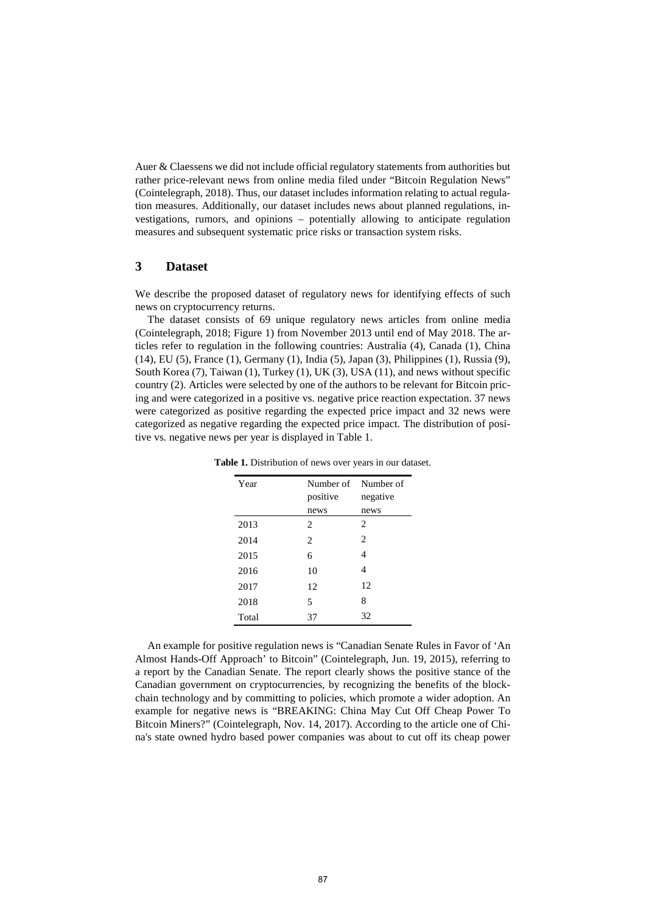Auer & Claessens we did not include official regulatory statements from authorities but rather price-relevant news from online media filed under "Bitcoin Regulation News" (Cointelegraph, 2018). Thus, our dataset includes information relating to actual regulation measures. Additionally, our dataset includes news about planned regulations, investigations, rumors, and opinions – potentially allowing to anticipate regulation measures and subsequent systematic price risks or transaction system risks.

## **3 Dataset**

We describe the proposed dataset of regulatory news for identifying effects of such news on cryptocurrency returns.

The dataset consists of 69 unique regulatory news articles from online media (Cointelegraph, 2018; Figure 1) from November 2013 until end of May 2018. The articles refer to regulation in the following countries: Australia (4), Canada (1), China (14), EU (5), France (1), Germany (1), India (5), Japan (3), Philippines (1), Russia (9), South Korea (7), Taiwan (1), Turkey (1), UK (3), USA (11), and news without specific country (2). Articles were selected by one of the authors to be relevant for Bitcoin pricing and were categorized in a positive vs. negative price reaction expectation. 37 news were categorized as positive regarding the expected price impact and 32 news were categorized as negative regarding the expected price impact. The distribution of positive vs. negative news per year is displayed in Table 1.

| Year  | Number of<br>positive         | Number of<br>negative |
|-------|-------------------------------|-----------------------|
|       | news                          | news                  |
| 2013  | $\mathfrak{D}_{\mathfrak{p}}$ | 2                     |
| 2014  | 2                             | $\overline{c}$        |
| 2015  | 6                             | 4                     |
| 2016  | 10                            | 4                     |
| 2017  | 12                            | 12                    |
| 2018  | 5                             | 8                     |
| Total | 37                            | 32                    |

**Table 1.** Distribution of news over years in our dataset.

An example for positive regulation news is "Canadian Senate Rules in Favor of 'An Almost Hands-Off Approach' to Bitcoin" (Cointelegraph, Jun. 19, 2015), referring to a report by the Canadian Senate. The report clearly shows the positive stance of the Canadian government on cryptocurrencies, by recognizing the benefits of the blockchain technology and by committing to policies, which promote a wider adoption. An example for negative news is "BREAKING: China May Cut Off Cheap Power To Bitcoin Miners?" (Cointelegraph, Nov. 14, 2017). According to the article one of China's state owned hydro based power companies was about to cut off its cheap power